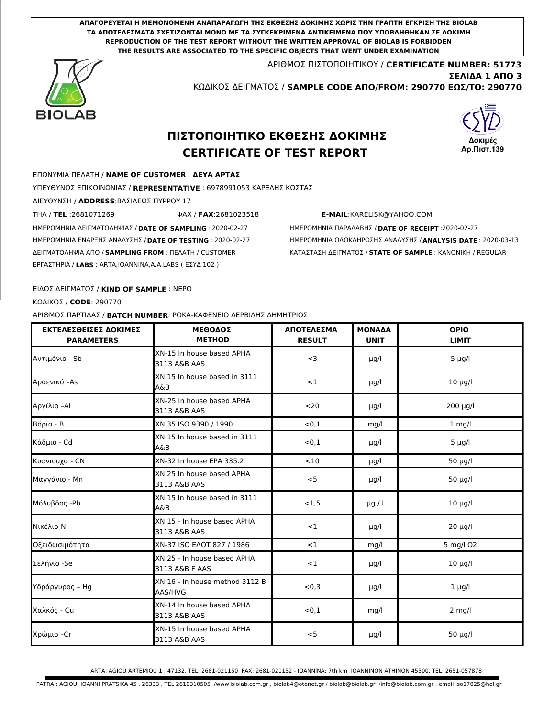**ΑΠΑΓΟΡΕΥΕΤΑΙ Η ΜΕΜΟΝΟΜΕΝΗ ΑΝΑΠΑΡΑΓΩΓΗ ΤΗΣ ΕΚΘΕΣΗΣ ΔΟΚΙΜΗΣ ΧΩΡΙΣ ΤΗΝ ΓΡΑΠΤΗ ΕΓΚΡΙΣΗ ΤΗΣ BIOLAB ΤΑ ΑΠΟΤΕΛΕΣΜΑΤΑ ΣΧΕΤΙΖΟΝΤΑΙ ΜΟΝΟ ΜΕ ΤΑ ΣΥΓΚΕΚΡΙΜΕΝΑ ΑΝΤΙΚΕΙΜΕΝΑ ΠΟΥ ΥΠΟΒΛΗΘΗΚΑΝ ΣΕ ΔΟΚΙΜΗ REPRODUCTION OF THE TEST REPORT WITHOUT THE WRITTEN APPROVAL OF BIOLAB IS FORBIDDEN THE RESULTS ARE ASSOCIATED TO THE SPECIFIC OBJECTS THAT WENT UNDER EXAMINATION**

> ΑΡΙΘΜΟΣ ΠΙΣΤΟΠΟΙΗΤΙΚΟΥ / **CERTIFICATE NUMBER: 51773** ΚΩΔΙΚΟΣ ΔΕΙΓΜΑΤΟΣ / **SAMPLE CODE ΑΠΟ/FROM: 290770 ΕΩΣ/TO: 290770 ΣΕΛΙΔΑ 1 ΑΠΟ 3**



# **ΠΙΣΤΟΠΟΙΗΤΙΚΟ ΕΚΘΕΣΗΣ ΔΟΚΙΜΗΣ CERTIFICATE OF TEST REPORT**



# ΕΠΩΝΥΜΙΑ ΠΕΛΑΤΗ / **NAME OF CUSTOMER** : **ΔΕΥΑ ΑΡΤΑΣ**

ΥΠΕΥΘΥΝΟΣ ΕΠΙΚΟΙΝΩΝΙΑΣ / **REPRESENTATIVE** : 6978991053 ΚΑΡΕΛΗΣ ΚΩΣΤΑΣ

ΔΙΕΥΘΥΝΣΗ / **ADDRESS**:ΒΑΣΙΛΕΩΣ ΠΥΡΡΟΥ 17

ΤΗΛ / **TEL** :2681071269 ΦΑΧ / **FAX**:2681023518 **E-MAIL**:KARELISK@YAHOO.COM

ΗΜΕΡΟΜΗΝΙΑ ΔΕΙΓΜΑΤΟΛΗΨΙΑΣ / **DATE OF SAMPLING** : 2020-02-27 ΗΜΕΡΟΜΗΝΙΑ ΠΑΡΑΛΑΒΗΣ / **DATE OF RECEIPT** :2020-02-27

ΗΜΕΡΟΜΗΝΙΑ ΕΝΑΡΞΗΣ ΑΝΑΛΥΣΗΣ / **DATE OF TESTING** : 2020-02-27 ΗΜΕΡΟΜΗΝΙΑ ΟΛΟΚΛΗΡΩΣΗΣ ΑΝΑΛΥΣΗΣ / **ANALYSIS DATE** : 2020-03-13 ΔΕΙΓΜΑΤΟΛΗΨΙΑ ΑΠΟ / **SAMPLING FROM** : ΠΕΛΑΤΗ / CUSTOMER ΚΑΤΑΣΤΑΣΗ ΔΕΙΓΜΑΤΟΣ / **STATE OF SAMPLE** : ΚΑΝΟΝΙΚΗ / REGULAR

# ΕΙΔΟΣ ΔΕΙΓΜΑΤΟΣ / **KIND OF SAMPLE** : ΝΕΡΟ

ΕΡΓΑΣΤΗΡΙA / **LABS** : ARTA,IOANNINA,A.A.LABS ( ΕΣΥΔ 102 )

ΚΩΔΙΚΟΣ / **CODE**: 290770

ΑΡΙΘΜΟΣ ΠΑΡΤΙΔΑΣ / **BATCH NUMBER**: ΡΟΚΑ-ΚΑΦΕΝΕΙΟ ΔΕΡΒΙΛΗΣ ΔΗΜΗΤΡΙΟΣ

| ΕΚΤΕΛΕΣΘΕΙΣΕΣ ΔΟΚΙΜΕΣ<br><b>PARAMETERS</b> | <b>ΜΕΘΟΑΟΣ</b><br><b>METHOD</b>               | <b>ΑΠΟΤΕΛΕΣΜΑ</b><br><b>RESULT</b> | <b>MONAAA</b><br><b>UNIT</b> | <b>OPIO</b><br><b>LIMIT</b> |
|--------------------------------------------|-----------------------------------------------|------------------------------------|------------------------------|-----------------------------|
| Αντιμόνιο - Sb                             | XN-15 In house based APHA<br>3113 A&B AAS     | $<$ 3                              | µg/l                         | $5 \mu g/l$                 |
| Aρσενικό -As                               | XN 15 In house based in 3111<br>A&B           | <1                                 | µg/l                         | $10 \mu g/l$                |
| Αργίλιο –Al                                | XN-25 In house based APHA<br>3113 A&B AAS     | $20$                               | µg/l                         | $200 \mu g/l$               |
| Βόριο - Β                                  | XN 35 ISO 9390 / 1990                         | < 0, 1                             | mq/l                         | $1$ mg/l                    |
| Κάδμιο - Cd                                | XN 15 In house based in 3111<br>A&B           | < 0, 1                             | µg/l                         | $5 \mu g/l$                 |
| Κυανιουχα - CN                             | XN-32 In house EPA 335.2                      | <10                                | $\mu$ g/l                    | $50 \mu g/l$                |
| Μαγγάνιο - Mn                              | XN 25 In house based APHA<br>3113 A&B AAS     | $<$ 5                              | $\mu$ g/l                    | $50 \mu g/l$                |
| Μόλυβδος -Pb                               | XN 15 In house based in 3111<br>A&B           | <1,5                               | $\mu$ g / l                  | $10 \mu g/l$                |
| ΙΝικέλιο-Νί                                | XN 15 - In house based APHA<br>3113 A&B AAS   | $<$ 1                              | µg/l                         | $20 \mu g/l$                |
| Οξειδωσιμότητα                             | XN-37 ISO EAOT 827 / 1986                     | $<$ 1                              | mq/l                         | 5 mg/l O2                   |
| Σελήνιο -Se                                | XN 25 - In house based APHA<br>3113 A&B F AAS | $<$ 1                              | µg/l                         | $10 \mu g/l$                |
| Υδράργυρος – Hg                            | XN 16 - In house method 3112 B<br>AAS/HVG     | < 0, 3                             | µg/l                         | $1 \mu g/l$                 |
| Χαλκός - Cu                                | XN-14 In house based APHA<br>3113 A&B AAS     | < 0.1                              | mg/l                         | $2$ mg/l                    |
| Χρώμιο −Cr                                 | XN-15 In house based APHA<br>3113 A&B AAS     | < 5                                | µg/l                         | $50 \mu g/l$                |

ARTA: AGIOU ARTEMIOU 1 , 47132, TEL: 2681-021150, FAX: 2681-021152 - IOANNINA: 7th km IOANNINON ATHINON 45500, TEL: 2651-057878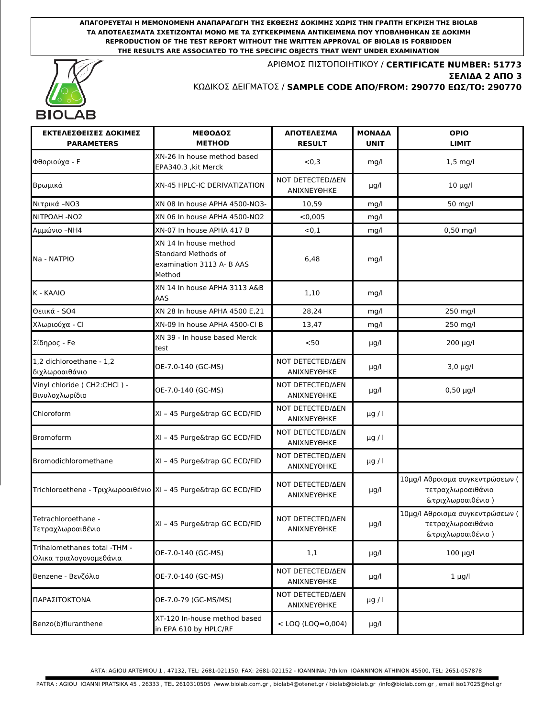**ΑΠΑΓΟΡΕΥΕΤΑΙ Η ΜΕΜΟΝΟΜΕΝΗ ΑΝΑΠΑΡΑΓΩΓΗ ΤΗΣ ΕΚΘΕΣΗΣ ΔΟΚΙΜΗΣ ΧΩΡΙΣ ΤΗΝ ΓΡΑΠΤΗ ΕΓΚΡΙΣΗ ΤΗΣ BIOLAB ΤΑ ΑΠΟΤΕΛΕΣΜΑΤΑ ΣΧΕΤΙΖΟΝΤΑΙ ΜΟΝΟ ΜΕ ΤΑ ΣΥΓΚΕΚΡΙΜΕΝΑ ΑΝΤΙΚΕΙΜΕΝΑ ΠΟΥ ΥΠΟΒΛΗΘΗΚΑΝ ΣΕ ΔΟΚΙΜΗ REPRODUCTION OF THE TEST REPORT WITHOUT THE WRITTEN APPROVAL OF BIOLAB IS FORBIDDEN THE RESULTS ARE ASSOCIATED TO THE SPECIFIC OBJECTS THAT WENT UNDER EXAMINATION**



ΑΡΙΘΜΟΣ ΠΙΣΤΟΠΟΙΗΤΙΚΟΥ / **CERTIFICATE NUMBER: 51773** ΚΩΔΙΚΟΣ ΔΕΙΓΜΑΤΟΣ / **SAMPLE CODE ΑΠΟ/FROM: 290770 ΕΩΣ/TO: 290770 ΣΕΛΙΔΑ 2 ΑΠΟ 3**

| ΕΚΤΕΛΕΣΘΕΙΣΕΣ ΔΟΚΙΜΕΣ<br><b>PARAMETERS</b>                       | <b>ΜΕΘΟΑΟΣ</b><br><b>METHOD</b>                                                     | ΑΠΟΤΕΛΕΣΜΑ<br><b>RESULT</b>                   | <b>MONAAA</b><br><b>UNIT</b> | <b>OPIO</b><br><b>LIMIT</b>                                               |
|------------------------------------------------------------------|-------------------------------------------------------------------------------------|-----------------------------------------------|------------------------------|---------------------------------------------------------------------------|
| Φθοριούχα - F                                                    | XN-26 In house method based<br>EPA340.3, kit Merck                                  | < 0, 3                                        | mq/l                         | $1,5$ mg/l                                                                |
| Βρωμικά                                                          | XN-45 HPLC-IC DERIVATIZATION                                                        | <b>NOT DETECTED/ΔΕΝ</b><br>ΑΝΙΧΝΕΥΘΗΚΕ        | $\mu$ g/l                    | $10 \mu g/l$                                                              |
| Νιτρικά - ΝΟ3                                                    | XN 08 In house APHA 4500-NO3-                                                       | 10,59                                         | mq/l                         | 50 mg/l                                                                   |
| ΝΙΤΡΩΔΗ - ΝΟ2                                                    | XN 06 In house APHA 4500-NO2                                                        | < 0.005                                       | mq/l                         |                                                                           |
| Αμμώνιο -ΝΗ4                                                     | XN-07 In house APHA 417 B                                                           | < 0, 1                                        | mg/l                         | 0,50 mg/l                                                                 |
| Na - NATPIO                                                      | XN 14 In house method<br>Standard Methods of<br>examination 3113 A- B AAS<br>Method | 6,48                                          | mg/l                         |                                                                           |
| K - KAAIO                                                        | XN 14 In house APHA 3113 A&B<br>AAS                                                 | 1,10                                          | mg/l                         |                                                                           |
| Θειικά - 504                                                     | XN 28 In house APHA 4500 E.21                                                       | 28.24                                         | mq/l                         | 250 mg/l                                                                  |
| Χλωριούχα - Cl                                                   | XN-09 In house APHA 4500-Cl B                                                       | 13,47                                         | mg/l                         | 250 mg/l                                                                  |
| Σίδηρος - Fe                                                     | XN 39 - In house based Merck<br>test                                                | $50$                                          | µg/l                         | 200 µg/l                                                                  |
| 1,2 dichloroethane - 1,2<br>διχλωροαιθάνιο                       | OE-7.0-140 (GC-MS)                                                                  | NOT DETECTED/AEN<br><b>ANIXNEYOHKE</b>        | µg/l                         | $3,0 \mu g/l$                                                             |
| Vinyl chloride (CH2:CHCl) -<br>Βινυλοχλωρίδιο                    | OE-7.0-140 (GC-MS)                                                                  | <b>NOT DETECTED/ΔΕΝ</b><br>ΑΝΙΧΝΕΥΘΗΚΕ        | $\mu$ g/l                    | $0,50 \mu g/l$                                                            |
| Chloroform                                                       | XI - 45 Purge&trap GC ECD/FID                                                       | <b>ΝΟΤ DETECTED/ΔΕΝ</b><br>ΑΝΙΧΝΕΥΘΗΚΕ        | $\mu$ g / l                  |                                                                           |
| <b>Bromoform</b>                                                 | XI - 45 Purge&trap GC ECD/FID                                                       | <b>ΝΟΤ DETECTED/ΔΕΝ</b><br>ANIXNEYOHKE        | $\mu$ g / l                  |                                                                           |
| Bromodichloromethane                                             | XI - 45 Purge&trap GC ECD/FID                                                       | NOT DETECTED/AEN<br>ANIXNEYOHKE               | $\mu$ g / l                  |                                                                           |
| Trichloroethene - Τριχλωροαιθένιο  XI - 45 Purge&trap GC ECD/FID |                                                                                     | <b>NOT DETECTED/ΔΕΝ</b><br>ANIXNEYOHKE        | µg/l                         | 10μg/l Αθροισμα συγκεντρώσεων (<br>τετραχλωροαιθάνιο<br>&τριχλωροαιθένιο) |
| Tetrachloroethane -<br>Τετραχλωροαιθένιο                         | XI - 45 Purge&trap GC ECD/FID                                                       | <b>ΝΟΤ DETECTED/ΔΕΝ</b><br>ANIXNEYOHKE        | $\mu$ g/l                    | 10μg/l Αθροισμα συγκεντρώσεων (<br>τετραχλωροαιθάνιο<br>&τριχλωροαιθένιο) |
| Trihalomethanes total -THM -<br>Ολικα τριαλογονομεθάνια          | OE-7.0-140 (GC-MS)                                                                  | 1,1                                           | $\mu$ g/l                    | $100 \mu g/l$                                                             |
| Benzene - Βενζόλιο                                               | OE-7.0-140 (GC-MS)                                                                  | NOT DETECTED/AEN<br>ANIXNEYOHKE               | µg/l                         | $1 \mu g/l$                                                               |
| ΠΑΡΑΣΙΤΟΚΤΟΝΑ                                                    | OE-7.0-79 (GC-MS/MS)                                                                | <b>NOT DETECTED/ΔΕΝ</b><br><b>ANIXNEYOHKE</b> | $\mu$ g / l                  |                                                                           |
| Benzo(b)fluranthene                                              | XT-120 In-house method based<br>in EPA 610 by HPLC/RF                               | $<$ LOQ (LOQ=0,004)                           | µg/l                         |                                                                           |

ARTA: AGIOU ARTEMIOU 1 , 47132, TEL: 2681-021150, FAX: 2681-021152 - IOANNINA: 7th km IOANNINON ATHINON 45500, TEL: 2651-057878